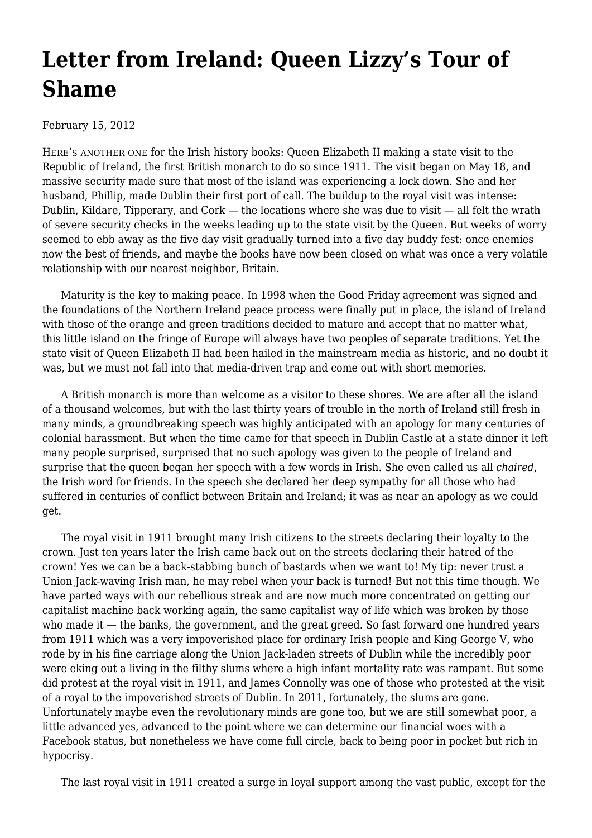## **[Letter from Ireland: Queen Lizzy's Tour of](https://newpol.org/issue_post/letter-ireland-queen-lizzys-tour-shame/) [Shame](https://newpol.org/issue_post/letter-ireland-queen-lizzys-tour-shame/)**

February 15, 2012

HERE'S ANOTHER ONE for the Irish history books: Queen Elizabeth II making a state visit to the Republic of Ireland, the first British monarch to do so since 1911. The visit began on May 18, and massive security made sure that most of the island was experiencing a lock down. She and her husband, Phillip, made Dublin their first port of call. The buildup to the royal visit was intense: Dublin, Kildare, Tipperary, and  $Cork -$  the locations where she was due to visit  $-$  all felt the wrath of severe security checks in the weeks leading up to the state visit by the Queen. But weeks of worry seemed to ebb away as the five day visit gradually turned into a five day buddy fest: once enemies now the best of friends, and maybe the books have now been closed on what was once a very volatile relationship with our nearest neighbor, Britain.

 Maturity is the key to making peace. In 1998 when the Good Friday agreement was signed and the foundations of the Northern Ireland peace process were finally put in place, the island of Ireland with those of the orange and green traditions decided to mature and accept that no matter what, this little island on the fringe of Europe will always have two peoples of separate traditions. Yet the state visit of Queen Elizabeth II had been hailed in the mainstream media as historic, and no doubt it was, but we must not fall into that media-driven trap and come out with short memories.

 A British monarch is more than welcome as a visitor to these shores. We are after all the island of a thousand welcomes, but with the last thirty years of trouble in the north of Ireland still fresh in many minds, a groundbreaking speech was highly anticipated with an apology for many centuries of colonial harassment. But when the time came for that speech in Dublin Castle at a state dinner it left many people surprised, surprised that no such apology was given to the people of Ireland and surprise that the queen began her speech with a few words in Irish. She even called us all *chaired*, the Irish word for friends. In the speech she declared her deep sympathy for all those who had suffered in centuries of conflict between Britain and Ireland; it was as near an apology as we could get.

 The royal visit in 1911 brought many Irish citizens to the streets declaring their loyalty to the crown. Just ten years later the Irish came back out on the streets declaring their hatred of the crown! Yes we can be a back-stabbing bunch of bastards when we want to! My tip: never trust a Union Jack-waving Irish man, he may rebel when your back is turned! But not this time though. We have parted ways with our rebellious streak and are now much more concentrated on getting our capitalist machine back working again, the same capitalist way of life which was broken by those who made it  $-$  the banks, the government, and the great greed. So fast forward one hundred years from 1911 which was a very impoverished place for ordinary Irish people and King George V, who rode by in his fine carriage along the Union Jack-laden streets of Dublin while the incredibly poor were eking out a living in the filthy slums where a high infant mortality rate was rampant. But some did protest at the royal visit in 1911, and James Connolly was one of those who protested at the visit of a royal to the impoverished streets of Dublin. In 2011, fortunately, the slums are gone. Unfortunately maybe even the revolutionary minds are gone too, but we are still somewhat poor, a little advanced yes, advanced to the point where we can determine our financial woes with a Facebook status, but nonetheless we have come full circle, back to being poor in pocket but rich in hypocrisy.

The last royal visit in 1911 created a surge in loyal support among the vast public, except for the